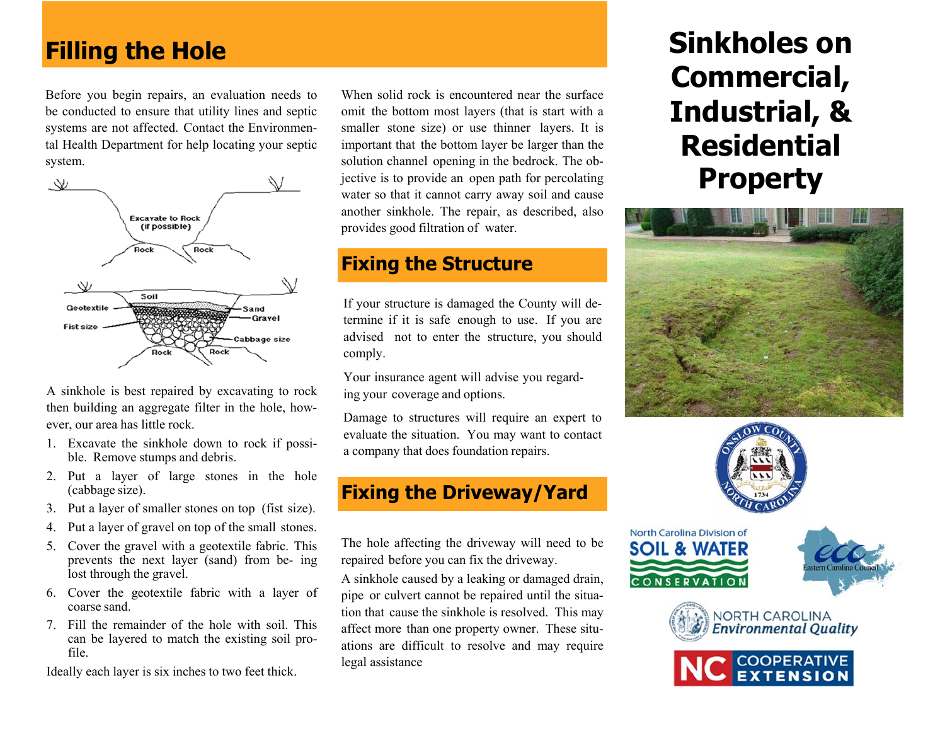Before you begin repairs, an evaluation needs to be conducted to ensure that utility lines and septic systems are not affected. Contact the Environmental Health Department for help locating your septic system.



A sinkhole is best repaired by excavating to rock then building an aggregate filter in the hole, however, our area has little rock.

- 1. Excavate the sinkhole down to rock if possible. Remove stumps and debris.
- 2. Put a layer of large stones in the hole (cabbage size).
- 3. Put a layer of smaller stones on top (fist size).
- 4. Put a layer of gravel on top of the small stones.
- 5. Cover the gravel with a geotextile fabric. This prevents the next layer (sand) from be- ing lost through the gravel.
- 6. Cover the geotextile fabric with a layer of coarse sand.
- 7. Fill the remainder of the hole with soil. Thiscan be layered to match the existing soil profile.

Ideally each layer is six inches to two feet thick.

When solid rock is encountered near the surface omit the bottom most layers (that is start with a smaller stone size) or use thinner layers. It is important that the bottom layer be larger than the solution channel opening in the bedrock. The objective is to provide an open path for percolating water so that it cannot carry away soil and cause another sinkhole. The repair, as described, also provides good filtration of water.

## **Fixing the Structure**

If your structure is damaged the County will determine if it is safe enough to use. If you are advised not to enter the structure, you should comply.

Your insurance agent will advise you regarding your coverage and options.

Damage to structures will require an expert to evaluate the situation. You may want to contact a company that does foundation repairs.

## **Fixing the Driveway/Yard**

The hole affecting the driveway will need to be repaired before you can fix the driveway.

A sinkhole caused by a leaking or damaged drain, pipe or culvert cannot be repaired until the situation that cause the sinkhole is resolved. This may affect more than one property owner. These situations are difficult to resolve and may require legal assistance

# **Filling the Hole Sinkholes on Commercial, Industrial, & Residential Property**